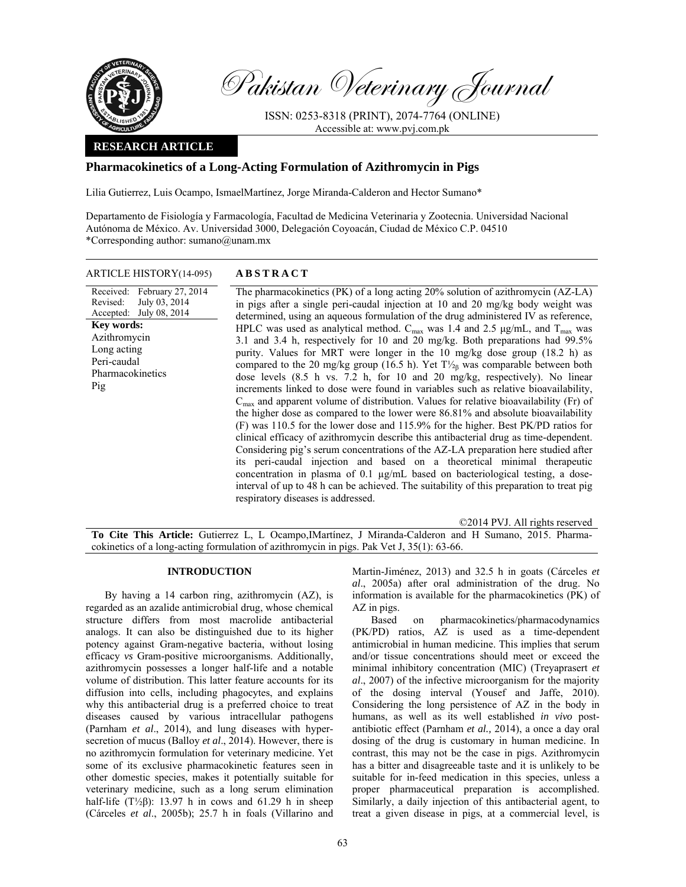

Pakistan Veterinary Journal

ISSN: 0253-8318 (PRINT), 2074-7764 (ONLINE) Accessible at: www.pvj.com.pk

## **RESEARCH ARTICLE**

## **Pharmacokinetics of a Long-Acting Formulation of Azithromycin in Pigs**

Lilia Gutierrez, Luis Ocampo, IsmaelMartínez, Jorge Miranda-Calderon and Hector Sumano\*

Departamento de Fisiología y Farmacología, Facultad de Medicina Veterinaria y Zootecnia. Universidad Nacional Autónoma de México. Av. Universidad 3000, Delegación Coyoacán, Ciudad de México C.P. 04510 \*Corresponding author: sumano@unam.mx

| ARTICLE HISTORY(14-095) | <b>ABSTRACT</b> |
|-------------------------|-----------------|
|-------------------------|-----------------|

Received: Revised: Accepted: February 27, 2014 July 03, 2014 July 08, 2014 The pharmacokinetics (PK) of a long acting 20% solution of azithromycin (AZ-LA) in pigs after a single peri-caudal injection at 10 and 20 mg/kg body weight was determined, using an aqueous formulation of the drug administered IV as reference, HPLC was used as analytical method.  $C_{max}$  was 1.4 and 2.5  $\mu$ g/mL, and T<sub>max</sub> was 3.1 and 3.4 h, respectively for 10 and 20 mg/kg. Both preparations had 99.5% purity. Values for MRT were longer in the 10 mg/kg dose group (18.2 h) as compared to the 20 mg/kg group (16.5 h). Yet  $T\frac{1}{2}$ <sub>8</sub> was comparable between both dose levels (8.5 h vs. 7.2 h, for 10 and 20 mg/kg, respectively). No linear increments linked to dose were found in variables such as relative bioavailability,  $C<sub>max</sub>$  and apparent volume of distribution. Values for relative bioavailability (Fr) of the higher dose as compared to the lower were 86.81% and absolute bioavailability (F) was 110.5 for the lower dose and 115.9% for the higher. Best PK/PD ratios for clinical efficacy of azithromycin describe this antibacterial drug as time-dependent. Considering pig's serum concentrations of the AZ-LA preparation here studied after its peri-caudal injection and based on a theoretical minimal therapeutic concentration in plasma of 0.1 µg/mL based on bacteriological testing, a doseinterval of up to 48 h can be achieved. The suitability of this preparation to treat pig respiratory diseases is addressed. **Key words:**  Azithromycin Long acting Peri-caudal Pharmacokinetics Pig

©2014 PVJ. All rights reserved **To Cite This Article:** Gutierrez L, L Ocampo,IMartínez, J Miranda-Calderon and H Sumano, 2015. Pharmacokinetics of a long-acting formulation of azithromycin in pigs. Pak Vet J, 35(1): 63-66.

### **INTRODUCTION**

By having a 14 carbon ring, azithromycin (AZ), is regarded as an azalide antimicrobial drug, whose chemical structure differs from most macrolide antibacterial analogs. It can also be distinguished due to its higher potency against Gram-negative bacteria, without losing efficacy *vs* Gram-positive microorganisms. Additionally, azithromycin possesses a longer half-life and a notable volume of distribution. This latter feature accounts for its diffusion into cells, including phagocytes, and explains why this antibacterial drug is a preferred choice to treat diseases caused by various intracellular pathogens (Parnham *et al*., 2014), and lung diseases with hypersecretion of mucus (Balloy *et al*., 2014). However, there is no azithromycin formulation for veterinary medicine. Yet some of its exclusive pharmacokinetic features seen in other domestic species, makes it potentially suitable for veterinary medicine, such as a long serum elimination half-life (T $\frac{1}{2}$ β): 13.97 h in cows and 61.29 h in sheep (Cárceles *et al*., 2005b); 25.7 h in foals (Villarino and

Martin-Jiménez, 2013) and 32.5 h in goats (Cárceles *et al*., 2005a) after oral administration of the drug. No information is available for the pharmacokinetics (PK) of AZ in pigs.

Based on pharmacokinetics/pharmacodynamics (PK/PD) ratios, AZ is used as a time-dependent antimicrobial in human medicine. This implies that serum and/or tissue concentrations should meet or exceed the minimal inhibitory concentration (MIC) (Treyaprasert *et al*., 2007) of the infective microorganism for the majority of the dosing interval (Yousef and Jaffe, 2010). Considering the long persistence of AZ in the body in humans, as well as its well established *in vivo* postantibiotic effect (Parnham *et al.,* 2014), a once a day oral dosing of the drug is customary in human medicine. In contrast, this may not be the case in pigs. Azithromycin has a bitter and disagreeable taste and it is unlikely to be suitable for in-feed medication in this species, unless a proper pharmaceutical preparation is accomplished. Similarly, a daily injection of this antibacterial agent, to treat a given disease in pigs, at a commercial level, is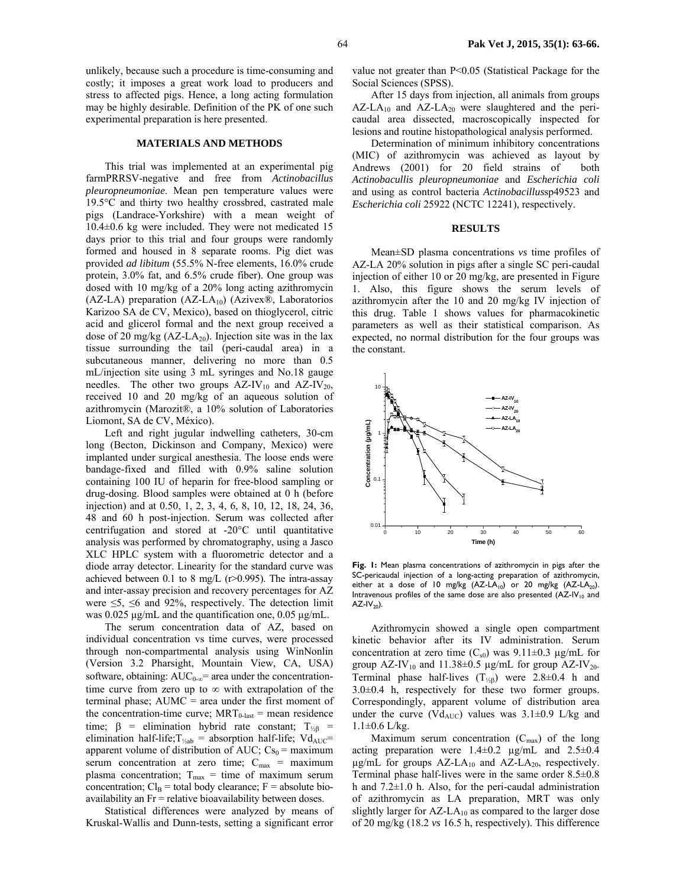unlikely, because such a procedure is time-consuming and costly; it imposes a great work load to producers and stress to affected pigs. Hence, a long acting formulation may be highly desirable. Definition of the PK of one such experimental preparation is here presented.

#### **MATERIALS AND METHODS**

This trial was implemented at an experimental pig farmPRRSV-negative and free from *Actinobacillus pleuropneumoniae*. Mean pen temperature values were 19.5°C and thirty two healthy crossbred, castrated male pigs (Landrace-Yorkshire) with a mean weight of 10.4±0.6 kg were included. They were not medicated 15 days prior to this trial and four groups were randomly formed and housed in 8 separate rooms. Pig diet was provided *ad libitum* (55.5% N-free elements, 16.0% crude protein, 3.0% fat, and 6.5% crude fiber). One group was dosed with 10 mg/kg of a 20% long acting azithromycin (AZ-LA) preparation (AZ-LA<sub>10</sub>) (Azivex®, Laboratorios Karizoo SA de CV, Mexico), based on thioglycerol, citric acid and glicerol formal and the next group received a dose of 20 mg/kg  $(AZ-LA_{20})$ . Injection site was in the lax tissue surrounding the tail (peri-caudal area) in a subcutaneous manner, delivering no more than 0.5 mL/injection site using 3 mL syringes and No.18 gauge needles. The other two groups  $AZ-IV_{10}$  and  $AZ-IV_{20}$ , received 10 and 20 mg/kg of an aqueous solution of azithromycin (Marozit®, a 10% solution of Laboratories Liomont, SA de CV, México).

Left and right jugular indwelling catheters, 30-cm long (Becton, Dickinson and Company, Mexico) were implanted under surgical anesthesia. The loose ends were bandage-fixed and filled with 0.9% saline solution containing 100 IU of heparin for free-blood sampling or drug-dosing. Blood samples were obtained at 0 h (before injection) and at 0.50, 1, 2, 3, 4, 6, 8, 10, 12, 18, 24, 36, 48 and 60 h post-injection. Serum was collected after centrifugation and stored at -20°C until quantitative analysis was performed by chromatography, using a Jasco XLC HPLC system with a fluorometric detector and a diode array detector. Linearity for the standard curve was achieved between 0.1 to 8 mg/L (r>0.995). The intra-assay and inter-assay precision and recovery percentages for AZ were  $\leq 5$ ,  $\leq 6$  and 92%, respectively. The detection limit was 0.025 µg/mL and the quantification one, 0.05 µg/mL.

The serum concentration data of AZ, based on individual concentration vs time curves, were processed through non-compartmental analysis using WinNonlin (Version 3.2 Pharsight, Mountain View, CA, USA) software, obtaining:  $AUC_{0-\infty}$ = area under the concentrationtime curve from zero up to ∞ with extrapolation of the terminal phase; AUMC = area under the first moment of the concentration-time curve;  $MRT_{0-last}$  = mean residence time;  $β =$  elimination hybrid rate constant;  $T_{\frac{1}{2}β}$  = elimination half-life;  $T_{\frac{1}{2}ab}$  = absorption half-life;  $Vd_{AUC}$ = apparent volume of distribution of AUC;  $Cs_0$  = maximum serum concentration at zero time;  $C_{\text{max}}$  = maximum plasma concentration;  $T_{\text{max}}$  = time of maximum serum concentration;  $Cl_B$  = total body clearance; F = absolute bioavailability an Fr = relative bioavailability between doses.

Statistical differences were analyzed by means of Kruskal-Wallis and Dunn-tests, setting a significant error

value not greater than P<0.05 (Statistical Package for the Social Sciences (SPSS).

After 15 days from injection, all animals from groups  $AZ-LA_{10}$  and  $AZ-LA_{20}$  were slaughtered and the pericaudal area dissected, macroscopically inspected for lesions and routine histopathological analysis performed.

Determination of minimum inhibitory concentrations (MIC) of azithromycin was achieved as layout by Andrews (2001) for 20 field strains of both *Actinobacullis pleuropneumoniae* and *Escherichia coli*  and using as control bacteria *Actinobacillus*sp49523 and *Escherichia coli* 25922 (NCTC 12241), respectively.

#### **RESULTS**

Mean±SD plasma concentrations *vs* time profiles of AZ-LA 20% solution in pigs after a single SC peri-caudal injection of either 10 or 20 mg/kg, are presented in Figure 1. Also, this figure shows the serum levels of azithromycin after the 10 and 20 mg/kg IV injection of this drug. Table 1 shows values for pharmacokinetic parameters as well as their statistical comparison. As expected, no normal distribution for the four groups was the constant.



**Fig. 1:** Mean plasma concentrations of azithromycin in pigs after the SC-pericaudal injection of a long-acting preparation of azithromycin, either at a dose of 10 mg/kg  $(AZ-LA_{10})$  or 20 mg/kg  $(AZ-LA_{20})$ . Intravenous profiles of the same dose are also presented  $(AZ-IV_{10})$  and  $AZ$ -IV<sub>20</sub>).

Azithromycin showed a single open compartment kinetic behavior after its IV administration. Serum concentration at zero time  $(C_{s0})$  was 9.11±0.3 µg/mL for group AZ-IV<sub>10</sub> and 11.38 $\pm$ 0.5 µg/mL for group AZ-IV<sub>20</sub>. Terminal phase half-lives  $(T_{\frac{1}{2}})$  were 2.8±0.4 h and 3.0±0.4 h, respectively for these two former groups. Correspondingly, apparent volume of distribution area under the curve (Vd<sub>AUC</sub>) values was  $3.1\pm0.9$  L/kg and  $1.1\pm0.6$  L/kg.

Maximum serum concentration  $(C_{\text{max}})$  of the long acting preparation were  $1.4\pm0.2$   $\mu$ g/mL and  $2.5\pm0.4$  $\mu$ g/mL for groups AZ-LA<sub>10</sub> and AZ-LA<sub>20</sub>, respectively. Terminal phase half-lives were in the same order 8.5±0.8 h and  $7.2\pm1.0$  h. Also, for the peri-caudal administration of azithromycin as LA preparation, MRT was only slightly larger for  $AZ-LA_{10}$  as compared to the larger dose of 20 mg/kg (18.2 *vs* 16.5 h, respectively). This difference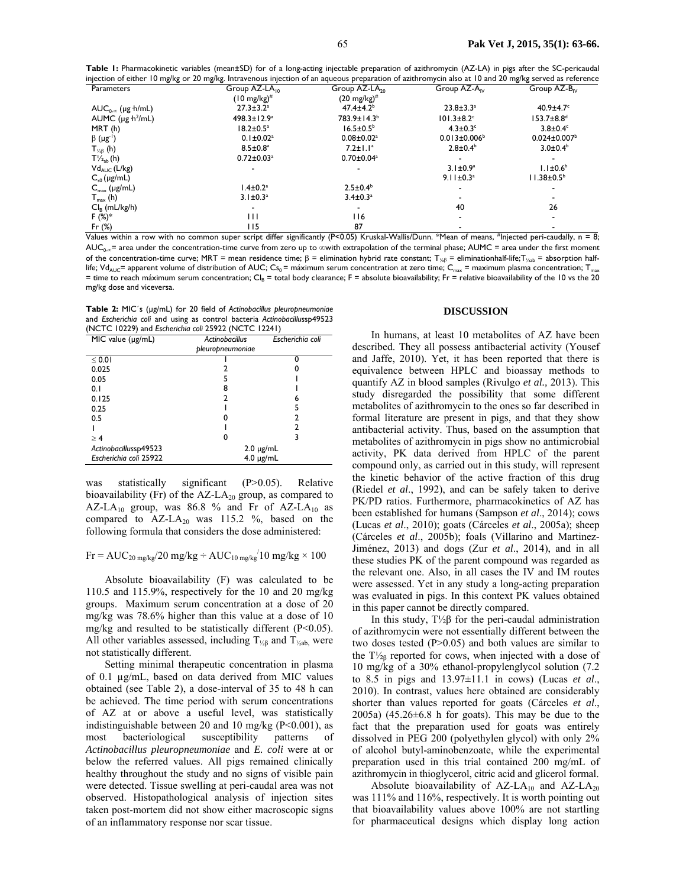**Table 1:** Pharmacokinetic variables (mean±SD) for of a long-acting injectable preparation of azithromycin (AZ-LA) in pigs after the SC-pericaudal injection of either 10 mg/kg or 20 mg/kg. Intravenous injection of an aqueous preparation of azithromycin also at 10 and 20 mg/kg served as reference

| Group AZ-LA <sub>in</sub>    | Group AZ-LA <sub>20</sub>    | Group $AZ-AN$                | Group AZ-B <sub>IV</sub>                                                                                                                                                                                                   |
|------------------------------|------------------------------|------------------------------|----------------------------------------------------------------------------------------------------------------------------------------------------------------------------------------------------------------------------|
| $(10 \text{ mg/kg})^{\#}$    | $(20 \text{ mg/kg})^{\#}$    |                              |                                                                                                                                                                                                                            |
| $27.3 \pm 3.2^a$             | $47.4 \pm 4.2^b$             | $23.8 \pm 3.3^a$             | $40.9 \pm 4.7$ °                                                                                                                                                                                                           |
| $498.3 \pm 12.9^a$           | 783.9±14.3 <sup>b</sup>      | $101.3 \pm 8.2$ <sup>c</sup> | $153.7 \pm 8.8$ <sup>d</sup>                                                                                                                                                                                               |
| $18.2 \pm 0.5^a$             | $16.5 \pm 0.5^{\circ}$       | $4.3 \pm 0.3$ <sup>c</sup>   | $3.8\pm0.4^{\circ}$                                                                                                                                                                                                        |
| $0.1 \pm 0.02$ <sup>a</sup>  | $0.08 \pm 0.02$ <sup>a</sup> | $0.013 \pm 0.006^b$          | $0.024 \pm 0.007$ <sup>b</sup>                                                                                                                                                                                             |
| $8.5 \pm 0.8^{\mathrm{a}}$   | $7.2 \pm 1.1^a$              | $2.8 \pm 0.4^b$              | $3.0 \pm 0.4^b$                                                                                                                                                                                                            |
| $0.72 \pm 0.03$ <sup>a</sup> | $0.70 \pm 0.04^a$            |                              |                                                                                                                                                                                                                            |
|                              |                              | $3.1 \pm 0.9^a$              | $1.1 \pm 0.6^b$                                                                                                                                                                                                            |
|                              |                              | $9.11 \pm 0.3^a$             | $11.38 \pm 0.5^{\circ}$                                                                                                                                                                                                    |
| $1.4 \pm 0.2^a$              | $2.5 \pm 0.4^b$              |                              |                                                                                                                                                                                                                            |
| $3.1 \pm 0.3^a$              | $3.4 \pm 0.3^a$              |                              |                                                                                                                                                                                                                            |
|                              | $\overline{\phantom{0}}$     | 40                           | 26                                                                                                                                                                                                                         |
| $\mathbf{H}$                 | 116                          |                              |                                                                                                                                                                                                                            |
| 115                          | 87                           |                              |                                                                                                                                                                                                                            |
|                              |                              | 1.00                         | #1<br>$\mathcal{L} = \mathcal{L} \mathbf{C}$ and $\mathcal{L} = \mathbf{D} \mathbf{A} \mathbf{A} \mathbf{A}$ and $\mathbf{D} \mathbf{A} \mathbf{A}$ and $\mathbf{D} \mathbf{A} \mathbf{A}$ .<br>$\forall$ Martin $\forall$ |

Values within a row with no common super script differ significantly (P<0.05) Kruskal-Wallis/Dunn. \*Mean of means, #Injected peri-caudally, n = 8; AUC<sub>0-∞</sub>= area under the concentration-time curve from zero up to ∞with extrapolation of the terminal phase; AUMC = area under the first moment of the concentration-time curve; MRT = mean residence time; β = elimination hybrid rate constant; T<sub>/½β</sub> = eliminationhalf-life;T<sub>/<sub>xab</sub> = absorption half-</sub> life; Vd<sub>AUC</sub>= apparent volume of distribution of AUC; Cs<sub>0</sub> = máximum serum concentration at zero time; C<sub>max</sub> = maximum plasma concentration; T<sub>max</sub> = time to reach máximum serum concentration; Cl<sub>B</sub> = total body clearance; F = absolute bioavailability; Fr = relative bioavailability of the 10 vs the 20 mg/kg dose and viceversa.

**Table 2:** MIC´s (µg/mL) for 20 field of *Actinobacillus pleuropneumoniae* and *Escherichia coli* and using as control bacteria *Actinobacillus*sp49523 (NCTC 10229) and *Escherichia coli* 25922 (NCTC 12241)

| $MIC$ value ( $\mu$ g/mL) | <b>Actinobacillus</b> | Escherichia coli |
|---------------------------|-----------------------|------------------|
|                           | pleuropneumoniae      |                  |
| $\leq 0.01$               |                       | n                |
| 0.025                     |                       |                  |
| 0.05                      |                       |                  |
| 0.1                       | 8                     |                  |
| 0.125                     | າ                     | 6                |
| 0.25                      |                       |                  |
| 0.5                       |                       |                  |
|                           |                       |                  |
| > 4                       | 0                     |                  |
| Actinobacillussp49523     | $2.0 \mu g/mL$        |                  |
| Escherichia coli 25922    | $4.0 \mu g/mL$        |                  |
|                           |                       |                  |

was statistically significant (P>0.05). Relative bioavailability (Fr) of the  $AZ-LA_{20}$  group, as compared to AZ-LA<sub>10</sub> group, was 86.8 % and Fr of AZ-LA<sub>10</sub> as compared to  $AZ-LA_{20}$  was 115.2 %, based on the following formula that considers the dose administered:

# $Fr = AUC_{20 \text{ mg/kg}}/20 \text{ mg/kg} \div AUC_{10 \text{ mg/kg}}/10 \text{ mg/kg} \times 100$

Absolute bioavailability (F) was calculated to be 110.5 and 115.9%, respectively for the 10 and 20 mg/kg groups. Maximum serum concentration at a dose of 20 mg/kg was 78.6% higher than this value at a dose of 10 mg/kg and resulted to be statistically different (P<0.05). All other variables assessed, including  $T_{\frac{1}{2}}$  and  $T_{\frac{1}{2}}$  were not statistically different.

Setting minimal therapeutic concentration in plasma of 0.1 µg/mL, based on data derived from MIC values obtained (see Table 2), a dose-interval of 35 to 48 h can be achieved. The time period with serum concentrations of AZ at or above a useful level, was statistically indistinguishable between 20 and 10 mg/kg ( $P<0.001$ ), as most bacteriological susceptibility patterns of *Actinobacillus pleuropneumoniae* and *E. coli* were at or below the referred values. All pigs remained clinically healthy throughout the study and no signs of visible pain were detected. Tissue swelling at peri-caudal area was not observed. Histopathological analysis of injection sites taken post-mortem did not show either macroscopic signs of an inflammatory response nor scar tissue.

#### **DISCUSSION**

In humans, at least 10 metabolites of AZ have been described. They all possess antibacterial activity (Yousef and Jaffe, 2010). Yet, it has been reported that there is equivalence between HPLC and bioassay methods to quantify AZ in blood samples (Rivulgo *et al.,* 2013). This study disregarded the possibility that some different metabolites of azithromycin to the ones so far described in formal literature are present in pigs, and that they show antibacterial activity. Thus, based on the assumption that metabolites of azithromycin in pigs show no antimicrobial activity, PK data derived from HPLC of the parent compound only, as carried out in this study, will represent the kinetic behavior of the active fraction of this drug (Riedel *et al*., 1992), and can be safely taken to derive PK/PD ratios. Furthermore, pharmacokinetics of AZ has been established for humans (Sampson *et al*., 2014); cows (Lucas *et al*., 2010); goats (Cárceles *et al*., 2005a); sheep (Cárceles *et al*., 2005b); foals (Villarino and Martinez-Jiménez, 2013) and dogs (Zur *et al*., 2014), and in all these studies PK of the parent compound was regarded as the relevant one. Also, in all cases the IV and IM routes were assessed. Yet in any study a long-acting preparation was evaluated in pigs. In this context PK values obtained in this paper cannot be directly compared.

In this study, T½β for the peri-caudal administration of azithromycin were not essentially different between the two doses tested (P>0.05) and both values are similar to the  $T\frac{1}{28}$  reported for cows, when injected with a dose of 10 mg/kg of a 30% ethanol-propylenglycol solution (7.2 to 8.5 in pigs and 13.97±11.1 in cows) (Lucas *et al*., 2010). In contrast, values here obtained are considerably shorter than values reported for goats (Cárceles *et al*., 2005a)  $(45.26 \pm 6.8 \text{ h}$  for goats). This may be due to the fact that the preparation used for goats was entirely dissolved in PEG 200 (polyethylen glycol) with only 2% of alcohol butyl-aminobenzoate, while the experimental preparation used in this trial contained 200 mg/mL of azithromycin in thioglycerol, citric acid and glicerol formal.

Absolute bioavailability of  $AZ-LA_{10}$  and  $AZ-LA_{20}$ was 111% and 116%, respectively. It is worth pointing out that bioavailability values above 100% are not startling for pharmaceutical designs which display long action